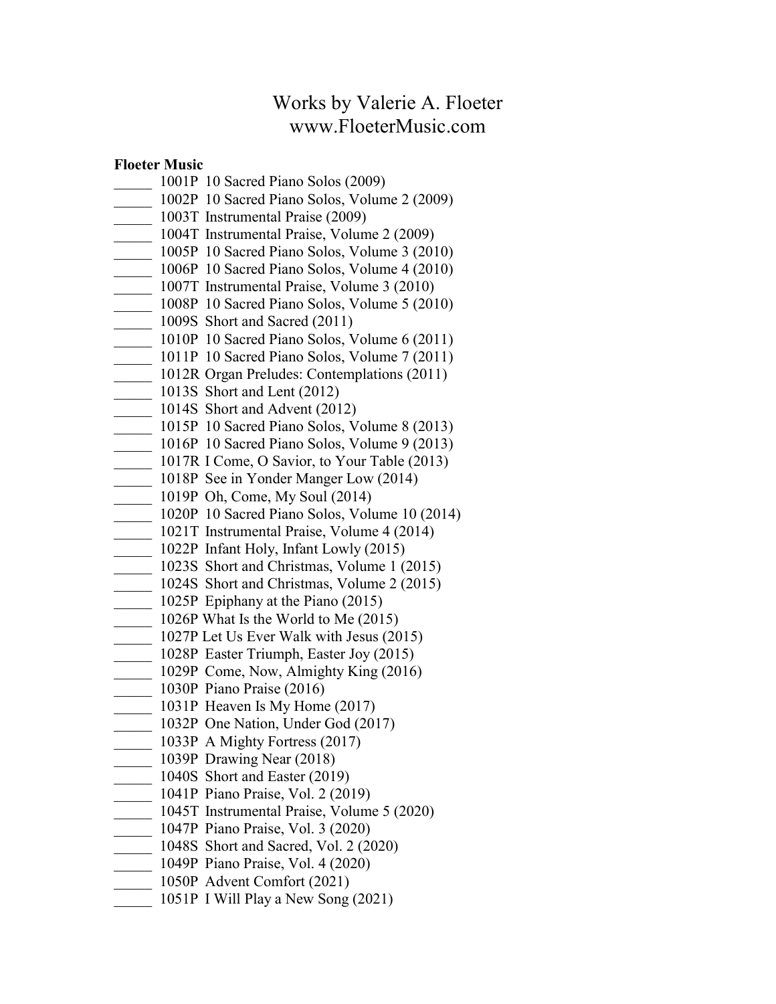# Works by Valerie A. Floeter www.FloeterMusic.com

### Floeter Music

- \_\_\_\_\_ 1001P 10 Sacred Piano Solos (2009)
- \_\_\_\_\_ 1002P 10 Sacred Piano Solos, Volume 2 (2009)
- \_\_\_\_\_ 1003T Instrumental Praise (2009)
- \_\_\_\_\_ 1004T Instrumental Praise, Volume 2 (2009)
- $\frac{1005P}{2}$  10 Sacred Piano Solos, Volume 3 (2010)
- $\frac{1006P}{2}$  10 Sacred Piano Solos, Volume 4 (2010)
- \_\_\_\_\_ 1007T Instrumental Praise, Volume 3 (2010)
- \_\_\_\_\_ 1008P 10 Sacred Piano Solos, Volume 5 (2010)
- **1009S** Short and Sacred (2011)
- \_\_\_\_\_ 1010P 10 Sacred Piano Solos, Volume 6 (2011)
- \_\_\_\_\_ 1011P 10 Sacred Piano Solos, Volume 7 (2011)
- 1012R Organ Preludes: Contemplations (2011)
- 1013S Short and Lent (2012)
- 1014S Short and Advent (2012)
- \_\_\_\_\_ 1015P 10 Sacred Piano Solos, Volume 8 (2013)
- $\frac{1016P}{2013}$  10 Sacred Piano Solos, Volume 9 (2013)
- \_\_\_\_\_ 1017R I Come, O Savior, to Your Table (2013)
- 1018P See in Yonder Manger Low (2014)
- $\frac{1019P}{2}$  Oh, Come, My Soul (2014)
- \_\_\_\_\_ 1020P 10 Sacred Piano Solos, Volume 10 (2014)
- \_\_\_\_\_ 1021T Instrumental Praise, Volume 4 (2014)
- \_\_\_\_\_ 1022P Infant Holy, Infant Lowly (2015)
- 1023S Short and Christmas, Volume 1 (2015)
- $\frac{1024S}{1024S}$  Short and Christmas, Volume 2 (2015)
- 1025P Epiphany at the Piano (2015)
- \_\_\_\_\_ 1026P What Is the World to Me (2015)
- \_\_\_\_\_ 1027P Let Us Ever Walk with Jesus (2015)
- 1028P Easter Triumph, Easter Joy (2015)
- 1029P Come, Now, Almighty King (2016)
- \_\_\_\_\_ 1030P Piano Praise (2016)
- $\frac{1031P}{P}$  Heaven Is My Home (2017)
- $\frac{1032P}{P}$  One Nation, Under God (2017)
- $\frac{1033P}{\text{A Mighty}}$  Fortress (2017)
- \_\_\_\_\_ 1039P Drawing Near (2018)
- $\frac{1040S}{S}$  Short and Easter (2019)
- \_\_\_\_\_ 1041P Piano Praise, Vol. 2 (2019)
- \_\_\_\_\_ 1045T Instrumental Praise, Volume 5 (2020)
- \_\_\_\_\_ 1047P Piano Praise, Vol. 3 (2020)
- 1048S Short and Sacred, Vol. 2 (2020)
- \_\_\_\_\_ 1049P Piano Praise, Vol. 4 (2020)
- \_\_\_\_\_ 1050P Advent Comfort (2021)
- \_\_\_\_\_ 1051P I Will Play a New Song (2021)